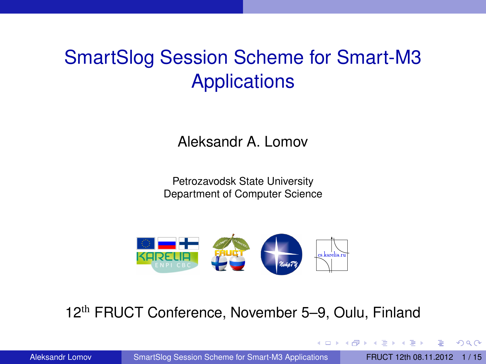# SmartSlog Session Scheme for Smart-M3 **Applications**

Aleksandr A. Lomov

Petrozavodsk State University Department of Computer Science



#### 12th FRUCT Conference, November 5–9, Oulu, Finland

Aleksandr Lomov [SmartSlog Session Scheme for Smart-M3 Applications](#page-14-0) FRUCT 12th 08.11.2012 1/15

<span id="page-0-0"></span> $\Omega$ 

イロ トラ 河 トラ モトラ モト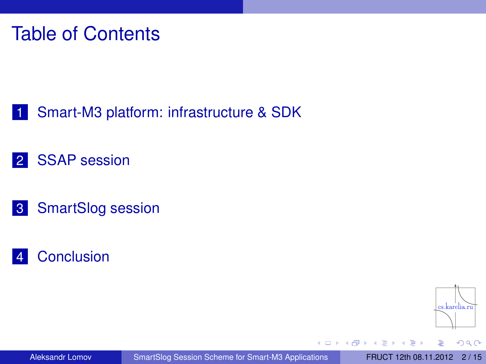# Table of Contents

- <span id="page-1-0"></span>1 [Smart-M3 platform: infrastructure & SDK](#page-2-0)
- 2 [SSAP session](#page-5-0)
- 3 [SmartSlog session](#page-7-0)
- 4 [Conclusion](#page-14-0)



 $\Omega$ 

Aleksandr Lomov [SmartSlog Session Scheme for Smart-M3 Applications](#page-0-0) FRUCT 12th 08.11.2012 [2 / 15](#page-1-0)

重

 $\leftarrow$   $\Box$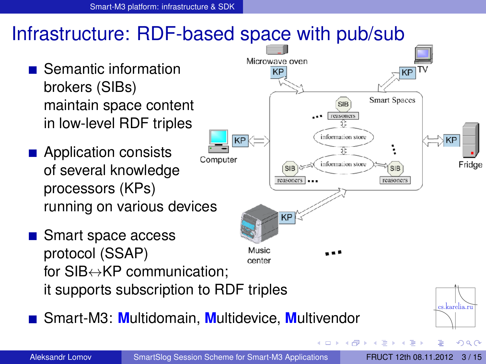# Infrastructure: RDF-based space with pub/sub

- Semantic information brokers (SIBs) maintain space content in low-level RDF triples
- **Application consists** Computer of several knowledge processors (KPs) running on various devices
- Smart space access protocol (SSAP) Music center for SIB↔KP communication; it supports subscription to RDF triples
- Smart-M3: **M**ultidomain, **M**ultidevice, **M**ultivendor



<span id="page-2-0"></span>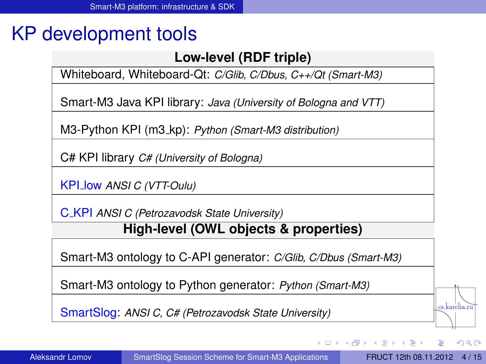# KP development tools

#### **Low-level (RDF triple)**

Whiteboard, Whiteboard-Qt: *C/Glib, C/Dbus, C++/Qt (Smart-M3)*

Smart-M3 Java KPI library: *Java (University of Bologna and VTT)*

M3-Python KPI (m3 kp): *Python (Smart-M3 distribution)*

C# KPI library *C# (University of Bologna)*

KPI low *ANSI C (VTT-Oulu)*

C KPI *ANSI C (Petrozavodsk State University)*

#### **High-level (OWL objects & properties)**

Smart-M3 ontology to C-API generator: *C/Glib, C/Dbus (Smart-M3)*

Smart-M3 ontology to Python generator: *Python (Smart-M3)*

SmartSlog: *ANSI C, C# (Petrozavodsk State University)*

 $\leftarrow$   $\leftarrow$   $\leftarrow$ 

4 0 5

cs.karelia.ru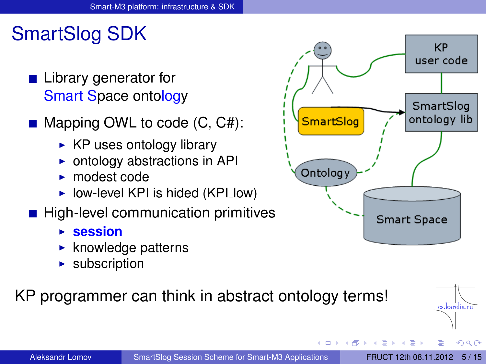# SmartSlog SDK

- Library generator for Smart Space ontology
- $\blacksquare$  Mapping OWL to code  $(C, C#)$ :
	- $\triangleright$  KP uses ontology library
	- $\triangleright$  ontology abstractions in API
	- $\blacktriangleright$  modest code
	- $\triangleright$  low-level KPI is hided (KPI low)
- **High-level communication primitives** 
	- **E** session
	- $\blacktriangleright$  knowledge patterns
	- $\blacktriangleright$  subscription

#### KP programmer can think in abstract ontology terms!



 $\leftarrow$   $\leftarrow$   $\leftarrow$ 

4 0 8

The Sea **A** The

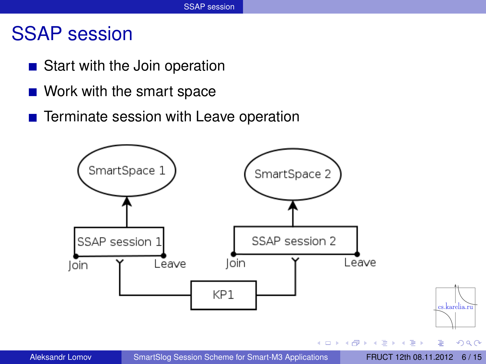### SSAP session

- Start with the Join operation
- Work with the smart space
- Terminate session with Leave operation

<span id="page-5-0"></span>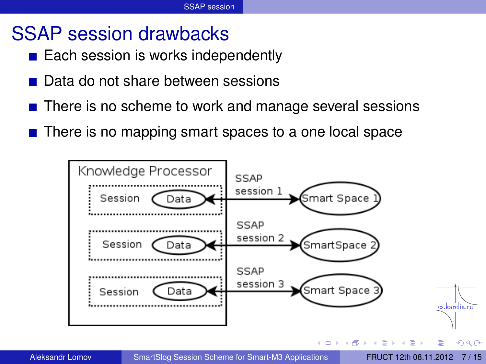### SSAP session drawbacks

- $\blacksquare$  Each session is works independently
- Data do not share between sessions
- There is no scheme to work and manage several sessions
- $\blacksquare$  There is no mapping smart spaces to a one local space

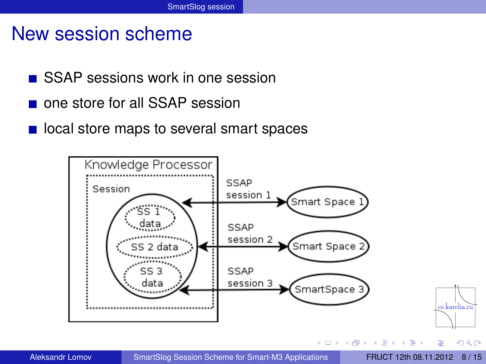### New session scheme

- **SSAP sessions work in one session**
- one store for all SSAP session
- **If** local store maps to several smart spaces

<span id="page-7-0"></span>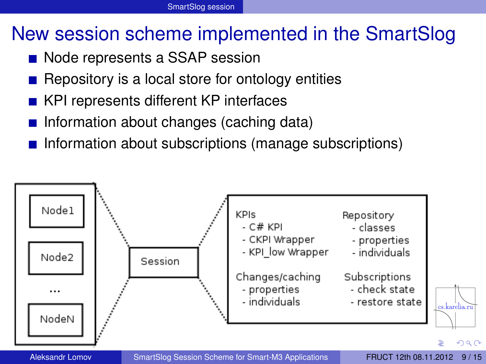# New session scheme implemented in the SmartSlog

- Node represents a SSAP session
- Repository is a local store for ontology entities
- KPI represents different KP interfaces
- **Information about changes (caching data)**
- Information about subscriptions (manage subscriptions)

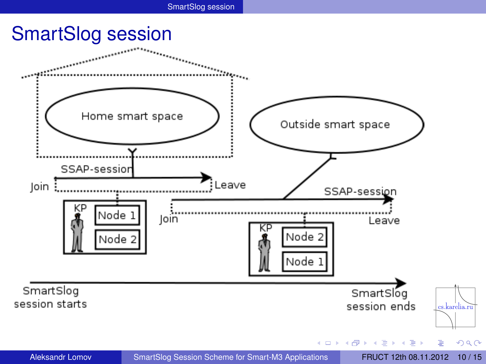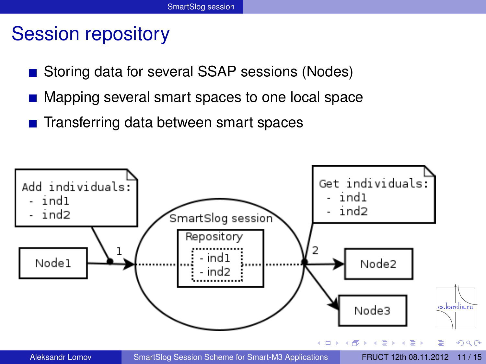### Session repository

- Storing data for several SSAP sessions (Nodes)
- Mapping several smart spaces to one local space
- Transferring data between smart spaces

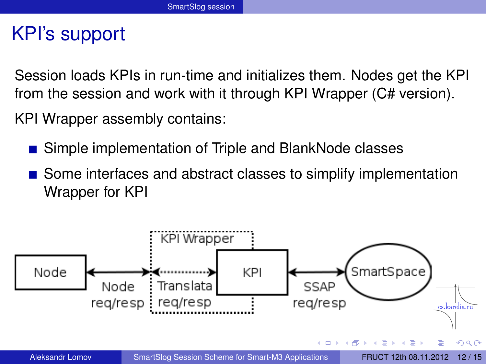### KPI's support

Session loads KPIs in run-time and initializes them. Nodes get the KPI from the session and work with it through KPI Wrapper (C# version).

KPI Wrapper assembly contains:

- Simple implementation of Triple and BlankNode classes
- Some interfaces and abstract classes to simplify implementation Wrapper for KPI

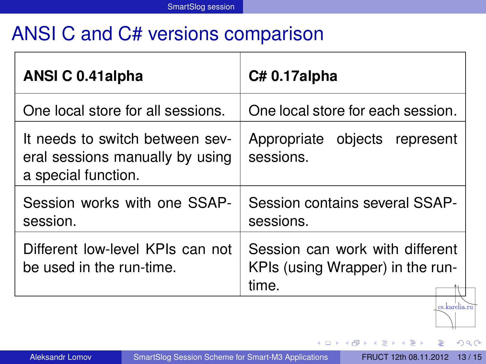# ANSI C and C# versions comparison

| ANSI C 0.41 alpha                                                                         | C#0.17alpha                                                                  |
|-------------------------------------------------------------------------------------------|------------------------------------------------------------------------------|
| One local store for all sessions.                                                         | One local store for each session.                                            |
| It needs to switch between sev-<br>eral sessions manually by using<br>a special function. | Appropriate objects represent<br>sessions.                                   |
| Session works with one SSAP-<br>session.                                                  | Session contains several SSAP-<br>sessions.                                  |
| Different low-level KPIs can not<br>be used in the run-time.                              | Session can work with different<br>KPIs (using Wrapper) in the run-<br>time. |
|                                                                                           |                                                                              |

- 4 (国)

4 0 8  $\leftarrow$   $\sim$ ∍  $\sim$   $290$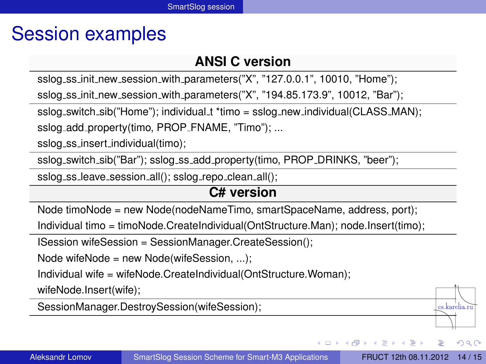# Session examples

#### **ANSI C version**

sslog\_ss\_init\_new\_session\_with\_parameters("X", "127.0.0.1", 10010, "Home");

sslog\_ss\_init\_new\_session\_with\_parameters("X", "194.85.173.9", 10012, "Bar");

sslog\_switch\_sib("Home"); individual\_t \*timo = sslog\_new\_individual(CLASS\_MAN);

sslog\_add\_property(timo, PROP\_FNAME, "Timo"); ...

sslog\_ss\_insert\_individual(timo);

sslog\_switch\_sib("Bar"); sslog\_ss\_add\_property(timo, PROP\_DRINKS, "beer");

sslog\_ss\_leave\_session\_all(); sslog\_repo\_clean\_all();

#### **C# version**

Node timoNode = new Node(nodeNameTimo, smartSpaceName, address, port);

Individual timo = timoNode.CreateIndividual(OntStructure.Man); node.Insert(timo);

ISession wifeSession = SessionManager.CreateSession();

Node wifeNode = new Node(wifeSession, ...);

Individual wife = wifeNode.CreateIndividual(OntStructure.Woman);

wifeNode.Insert(wife);

SessionManager.DestroySession(wifeSession);

イロト イ押ト イヨト イヨト

re karolia r